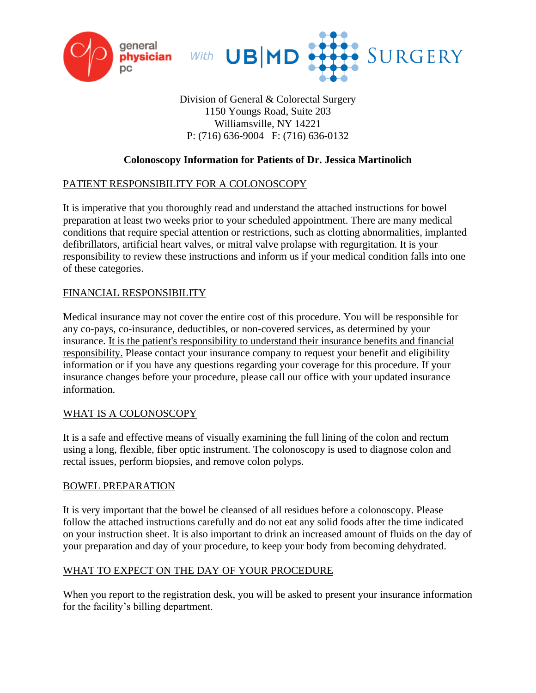



# Division of General & Colorectal Surgery 1150 Youngs Road, Suite 203 Williamsville, NY 14221 P: (716) 636-9004 F: (716) 636-0132

# **Colonoscopy Information for Patients of Dr. Jessica Martinolich**

#### PATIENT RESPONSIBILITY FOR A COLONOSCOPY

It is imperative that you thoroughly read and understand the attached instructions for bowel preparation at least two weeks prior to your scheduled appointment. There are many medical conditions that require special attention or restrictions, such as clotting abnormalities, implanted defibrillators, artificial heart valves, or mitral valve prolapse with regurgitation. It is your responsibility to review these instructions and inform us if your medical condition falls into one of these categories.

# FINANCIAL RESPONSIBILITY

Medical insurance may not cover the entire cost of this procedure. You will be responsible for any co-pays, co-insurance, deductibles, or non-covered services, as determined by your insurance. It is the patient's responsibility to understand their insurance benefits and financial responsibility. Please contact your insurance company to request your benefit and eligibility information or if you have any questions regarding your coverage for this procedure. If your insurance changes before your procedure, please call our office with your updated insurance information.

#### WHAT IS A COLONOSCOPY

It is a safe and effective means of visually examining the full lining of the colon and rectum using a long, flexible, fiber optic instrument. The colonoscopy is used to diagnose colon and rectal issues, perform biopsies, and remove colon polyps.

#### BOWEL PREPARATION

It is very important that the bowel be cleansed of all residues before a colonoscopy. Please follow the attached instructions carefully and do not eat any solid foods after the time indicated on your instruction sheet. It is also important to drink an increased amount of fluids on the day of your preparation and day of your procedure, to keep your body from becoming dehydrated.

#### WHAT TO EXPECT ON THE DAY OF YOUR PROCEDURE

When you report to the registration desk, you will be asked to present your insurance information for the facility's billing department.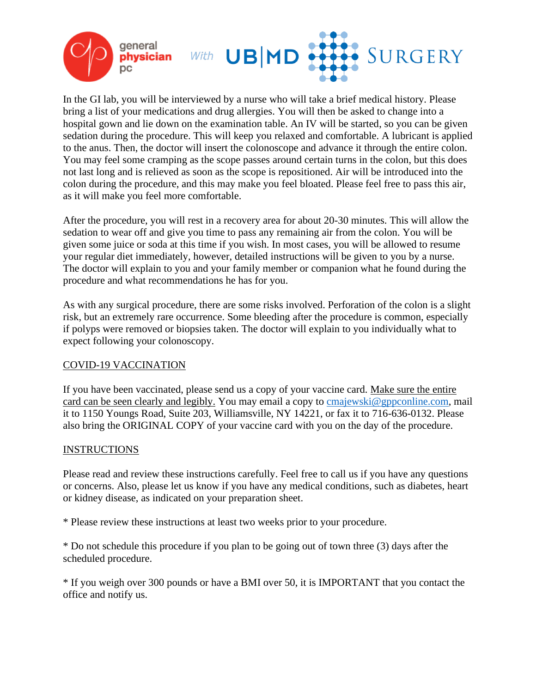

In the GI lab, you will be interviewed by a nurse who will take a brief medical history. Please bring a list of your medications and drug allergies. You will then be asked to change into a hospital gown and lie down on the examination table. An IV will be started, so you can be given sedation during the procedure. This will keep you relaxed and comfortable. A lubricant is applied to the anus. Then, the doctor will insert the colonoscope and advance it through the entire colon. You may feel some cramping as the scope passes around certain turns in the colon, but this does not last long and is relieved as soon as the scope is repositioned. Air will be introduced into the colon during the procedure, and this may make you feel bloated. Please feel free to pass this air, as it will make you feel more comfortable.

After the procedure, you will rest in a recovery area for about 20-30 minutes. This will allow the sedation to wear off and give you time to pass any remaining air from the colon. You will be given some juice or soda at this time if you wish. In most cases, you will be allowed to resume your regular diet immediately, however, detailed instructions will be given to you by a nurse. The doctor will explain to you and your family member or companion what he found during the procedure and what recommendations he has for you.

As with any surgical procedure, there are some risks involved. Perforation of the colon is a slight risk, but an extremely rare occurrence. Some bleeding after the procedure is common, especially if polyps were removed or biopsies taken. The doctor will explain to you individually what to expect following your colonoscopy.

#### COVID-19 VACCINATION

If you have been vaccinated, please send us a copy of your vaccine card. Make sure the entire card can be seen clearly and legibly. You may email a copy to **cmajewski@gppconline.com**, mail it to 1150 Youngs Road, Suite 203, Williamsville, NY 14221, or fax it to 716-636-0132. Please also bring the ORIGINAL COPY of your vaccine card with you on the day of the procedure.

#### **INSTRUCTIONS**

Please read and review these instructions carefully. Feel free to call us if you have any questions or concerns. Also, please let us know if you have any medical conditions, such as diabetes, heart or kidney disease, as indicated on your preparation sheet.

\* Please review these instructions at least two weeks prior to your procedure.

\* Do not schedule this procedure if you plan to be going out of town three (3) days after the scheduled procedure.

\* If you weigh over 300 pounds or have a BMI over 50, it is IMPORTANT that you contact the office and notify us.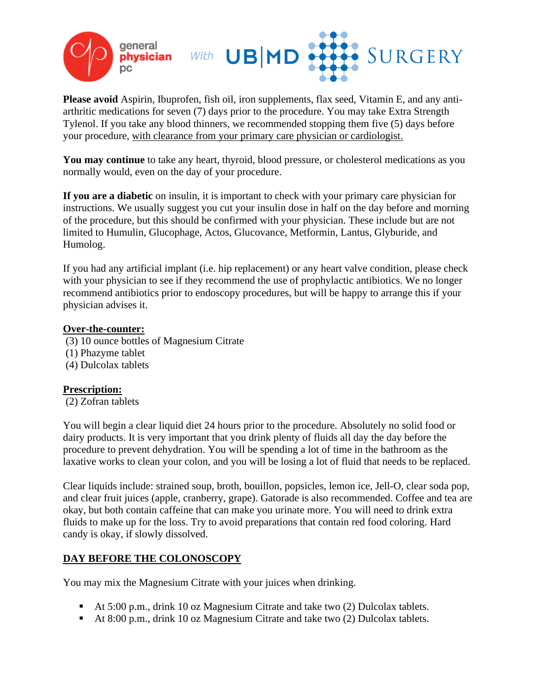

**Please avoid** Aspirin, Ibuprofen, fish oil, iron supplements, flax seed, Vitamin E, and any antiarthritic medications for seven (7) days prior to the procedure. You may take Extra Strength Tylenol. If you take any blood thinners, we recommended stopping them five (5) days before your procedure, with clearance from your primary care physician or cardiologist.

**You may continue** to take any heart, thyroid, blood pressure, or cholesterol medications as you normally would, even on the day of your procedure.

**If you are a diabetic** on insulin, it is important to check with your primary care physician for instructions. We usually suggest you cut your insulin dose in half on the day before and morning of the procedure, but this should be confirmed with your physician. These include but are not limited to Humulin, Glucophage, Actos, Glucovance, Metformin, Lantus, Glyburide, and Humolog.

If you had any artificial implant (i.e. hip replacement) or any heart valve condition, please check with your physician to see if they recommend the use of prophylactic antibiotics. We no longer recommend antibiotics prior to endoscopy procedures, but will be happy to arrange this if your physician advises it.

#### **Over-the-counter:**

(3) 10 ounce bottles of Magnesium Citrate

- (1) Phazyme tablet
- (4) Dulcolax tablets

#### **Prescription:**

(2) Zofran tablets

You will begin a clear liquid diet 24 hours prior to the procedure. Absolutely no solid food or dairy products. It is very important that you drink plenty of fluids all day the day before the procedure to prevent dehydration. You will be spending a lot of time in the bathroom as the laxative works to clean your colon, and you will be losing a lot of fluid that needs to be replaced.

Clear liquids include: strained soup, broth, bouillon, popsicles, lemon ice, Jell-O, clear soda pop, and clear fruit juices (apple, cranberry, grape). Gatorade is also recommended. Coffee and tea are okay, but both contain caffeine that can make you urinate more. You will need to drink extra fluids to make up for the loss. Try to avoid preparations that contain red food coloring. Hard candy is okay, if slowly dissolved.

# **DAY BEFORE THE COLONOSCOPY**

You may mix the Magnesium Citrate with your juices when drinking.

- At 5:00 p.m., drink 10 oz Magnesium Citrate and take two (2) Dulcolax tablets.
- At 8:00 p.m., drink 10 oz Magnesium Citrate and take two (2) Dulcolax tablets.